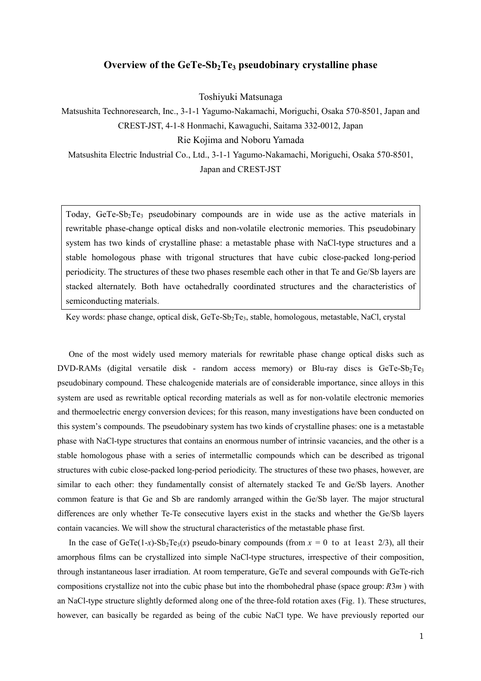## Overview of the  $GeTe-Sb<sub>2</sub>Te<sub>3</sub>$  pseudobinary crystalline phase

Toshiyuki Matsunaga

Matsushita Technoresearch, Inc., 3-1-1 Yagumo-Nakamachi, Moriguchi, Osaka 570-8501, Japan and CREST-JST, 4-1-8 Honmachi, Kawaguchi, Saitama 332-0012, Japan Rie Kojima and Noboru Yamada

Matsushita Electric Industrial Co., Ltd., 3-1-1 Yagumo-Nakamachi, Moriguchi, Osaka 570-8501, Japan and CREST-JST

Today,  $GeTe-Sb<sub>2</sub>Te<sub>3</sub>$  pseudobinary compounds are in wide use as the active materials in rewritable phase-change optical disks and non-volatile electronic memories. This pseudobinary system has two kinds of crystalline phase: a metastable phase with NaCl-type structures and a stable homologous phase with trigonal structures that have cubic close-packed long-period periodicity. The structures of these two phases resemble each other in that Te and Ge/Sb layers are stacked alternately. Both have octahedrally coordinated structures and the characteristics of semiconducting materials.

Key words: phase change, optical disk, GeTe-Sb<sub>2</sub>Te<sub>3</sub>, stable, homologous, metastable, NaCl, crystal

One of the most widely used memory materials for rewritable phase change optical disks such as DVD-RAMs (digital versatile disk - random access memory) or Blu-ray discs is GeTe-Sb<sub>2</sub>Te<sub>3</sub> pseudobinary compound. These chalcogenide materials are of considerable importance, since alloys in this system are used as rewritable optical recording materials as well as for non-volatile electronic memories and thermoelectric energy conversion devices; for this reason, many investigations have been conducted on this system's compounds. The pseudobinary system has two kinds of crystalline phases: one is a metastable phase with NaCl-type structures that contains an enormous number of intrinsic vacancies, and the other is a stable homologous phase with a series of intermetallic compounds which can be described as trigonal structures with cubic close-packed long-period periodicity. The structures of these two phases, however, are similar to each other: they fundamentally consist of alternately stacked Te and Ge/Sb layers. Another common feature is that Ge and Sb are randomly arranged within the Ge/Sb layer. The major structural differences are only whether Te-Te consecutive layers exist in the stacks and whether the Ge/Sb layers contain vacancies. We will show the structural characteristics of the metastable phase first.

In the case of GeTe(1-x)-Sb<sub>2</sub>Te<sub>3</sub>(x) pseudo-binary compounds (from  $x = 0$  to at least 2/3), all their amorphous films can be crystallized into simple NaCl-type structures, irrespective of their composition, through instantaneous laser irradiation. At room temperature, GeTe and several compounds with GeTe-rich compositions crystallize not into the cubic phase but into the rhombohedral phase (space group:  $R3m$ ) with an NaCl-type structure slightly deformed along one of the three-fold rotation axes (Fig. 1). These structures, however, can basically be regarded as being of the cubic NaCl type. We have previously reported our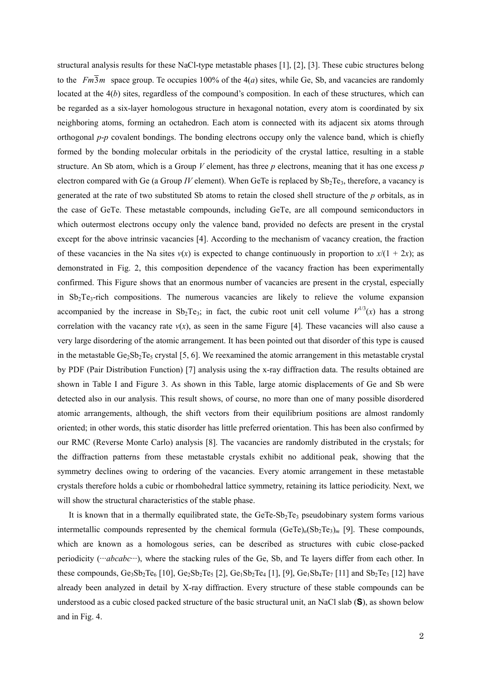structural analysis results for these NaCl-type metastable phases [1], [2], [3]. These cubic structures belong to the  $Fm\overline{3}m$  space group. Te occupies 100% of the 4(*a*) sites, while Ge, Sb, and vacancies are randomly located at the  $4(b)$  sites, regardless of the compound's composition. In each of these structures, which can be regarded as a six-layer homologous structure in hexagonal notation, every atom is coordinated by six neighboring atoms, forming an octahedron. Each atom is connected with its adjacent six atoms through orthogonal  $p-p$  covalent bondings. The bonding electrons occupy only the valence band, which is chiefly formed by the bonding molecular orbitals in the periodicity of the crystal lattice, resulting in a stable structure. An Sb atom, which is a Group  $V$  element, has three  $p$  electrons, meaning that it has one excess  $p$ electron compared with Ge (a Group IV element). When GeTe is replaced by  $Sb_2Te_3$ , therefore, a vacancy is generated at the rate of two substituted Sb atoms to retain the closed shell structure of the p orbitals, as in the case of GeTe. These metastable compounds, including GeTe, are all compound semiconductors in which outermost electrons occupy only the valence band, provided no defects are present in the crystal except for the above intrinsic vacancies [4]. According to the mechanism of vacancy creation, the fraction of these vacancies in the Na sites  $v(x)$  is expected to change continuously in proportion to  $x/(1 + 2x)$ ; as demonstrated in Fig. 2, this composition dependence of the vacancy fraction has been experimentally confirmed. This Figure shows that an enormous number of vacancies are present in the crystal, especially in  $Sb_2Te_3$ -rich compositions. The numerous vacancies are likely to relieve the volume expansion accompanied by the increase in  $Sb_2Te_3$ ; in fact, the cubic root unit cell volume  $V^{1/3}(x)$  has a strong correlation with the vacancy rate  $v(x)$ , as seen in the same Figure [4]. These vacancies will also cause a very large disordering of the atomic arrangement. It has been pointed out that disorder of this type is caused in the metastable Ge<sub>2</sub>Sb<sub>2</sub>Te<sub>5</sub> crystal [5, 6]. We reexamined the atomic arrangement in this metastable crystal by PDF (Pair Distribution Function) [7] analysis using the x-ray diffraction data. The results obtained are shown in Table I and Figure 3. As shown in this Table, large atomic displacements of Ge and Sb were detected also in our analysis. This result shows, of course, no more than one of many possible disordered atomic arrangements, although, the shift vectors from their equilibrium positions are almost randomly oriented; in other words, this static disorder has little preferred orientation. This has been also confirmed by our RMC (Reverse Monte Carlo) analysis [8]. The vacancies are randomly distributed in the crystals; for the diffraction patterns from these metastable crystals exhibit no additional peak, showing that the symmetry declines owing to ordering of the vacancies. Every atomic arrangement in these metastable crystals therefore holds a cubic or rhombohedral lattice symmetry, retaining its lattice periodicity. Next, we will show the structural characteristics of the stable phase.

It is known that in a thermally equilibrated state, the GeTe-Sb<sub>2</sub>Te<sub>3</sub> pseudobinary system forms various intermetallic compounds represented by the chemical formula  $(GeTe)<sub>n</sub>(Sb<sub>2</sub>Te<sub>3</sub>)<sub>m</sub>$  [9]. These compounds, which are known as a homologous series, can be described as structures with cubic close-packed periodicity (*···abcabc*···), where the stacking rules of the Ge, Sb, and Te layers differ from each other. In these compounds,  $Ge_3Sb_2Te_6$  [10],  $Ge_2Sb_2Te_5$  [2],  $Ge_1Sb_2Te_4$  [1], [9],  $Ge_1Sb_4Te_7$  [11] and  $Sb_2Te_3$  [12] have already been analyzed in detail by X-ray diffraction. Every structure of these stable compounds can be understood as a cubic closed packed structure of the basic structural unit, an NaCl slab (S), as shown below and in Fig. 4.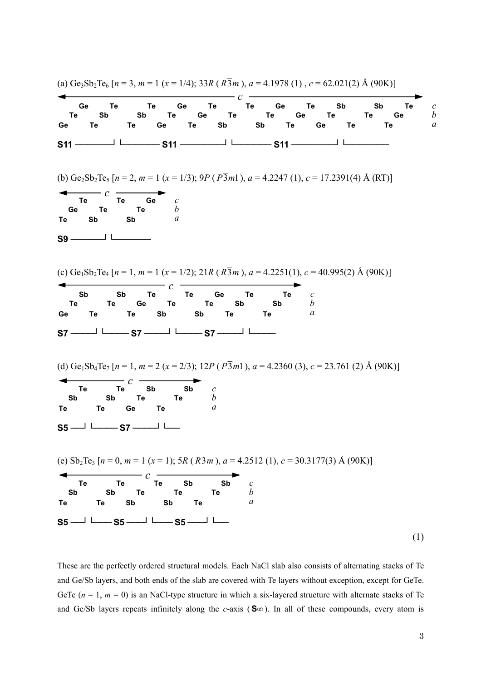

These are the perfectly ordered structural models. Each NaCl slab also consists of alternating stacks of Te and Ge/Sb layers, and both ends of the slab are covered with Te layers without exception, except for GeTe. GeTe  $(n = 1, m = 0)$  is an NaCl-type structure in which a six-layered structure with alternate stacks of Te and Ge/Sb layers repeats infinitely along the c-axis (S∞). In all of these compounds, every atom is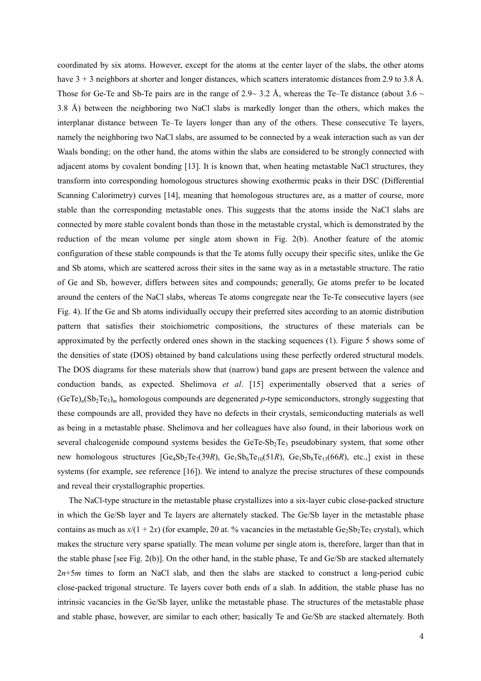coordinated by six atoms. However, except for the atoms at the center layer of the slabs, the other atoms have  $3 + 3$  neighbors at shorter and longer distances, which scatters interatomic distances from 2.9 to 3.8 Å. Those for Ge-Te and Sb-Te pairs are in the range of 2.9~3.2 Å, whereas the Te–Te distance (about  $3.6 \sim$ 3.8 Å) between the neighboring two NaCl slabs is markedly longer than the others, which makes the interplanar distance between Te–Te layers longer than any of the others. These consecutive Te layers, namely the neighboring two NaCl slabs, are assumed to be connected by a weak interaction such as van der Waals bonding; on the other hand, the atoms within the slabs are considered to be strongly connected with adjacent atoms by covalent bonding [13]. It is known that, when heating metastable NaCl structures, they transform into corresponding homologous structures showing exothermic peaks in their DSC (Differential Scanning Calorimetry) curves [14], meaning that homologous structures are, as a matter of course, more stable than the corresponding metastable ones. This suggests that the atoms inside the NaCl slabs are connected by more stable covalent bonds than those in the metastable crystal, which is demonstrated by the reduction of the mean volume per single atom shown in Fig. 2(b). Another feature of the atomic configuration of these stable compounds is that the Te atoms fully occupy their specific sites, unlike the Ge and Sb atoms, which are scattered across their sites in the same way as in a metastable structure. The ratio of Ge and Sb, however, differs between sites and compounds; generally, Ge atoms prefer to be located around the centers of the NaCl slabs, whereas Te atoms congregate near the Te-Te consecutive layers (see Fig. 4). If the Ge and Sb atoms individually occupy their preferred sites according to an atomic distribution pattern that satisfies their stoichiometric compositions, the structures of these materials can be approximated by the perfectly ordered ones shown in the stacking sequences (1). Figure 5 shows some of the densities of state (DOS) obtained by band calculations using these perfectly ordered structural models. The DOS diagrams for these materials show that (narrow) band gaps are present between the valence and conduction bands, as expected. Shelimova et al. [15] experimentally observed that a series of  $(GeTe)<sub>n</sub>(Sb<sub>2</sub>Te<sub>3</sub>)<sub>m</sub>$  homologous compounds are degenerated p-type semiconductors, strongly suggesting that these compounds are all, provided they have no defects in their crystals, semiconducting materials as well as being in a metastable phase. Shelimova and her colleagues have also found, in their laborious work on several chalcogenide compound systems besides the GeTe-Sb<sub>2</sub>Te<sub>3</sub> pseudobinary system, that some other new homologous structures  $[Ge_4Sb_2Te_7(39R), Ge_1Sb_6Te_{10}(51R), Ge_1Sb_8Te_{13}(66R), etc.]$  exist in these systems (for example, see reference [16]). We intend to analyze the precise structures of these compounds and reveal their crystallographic properties.

The NaCl-type structure in the metastable phase crystallizes into a six-layer cubic close-packed structure in which the Ge/Sb layer and Te layers are alternately stacked. The Ge/Sb layer in the metastable phase contains as much as  $x/(1 + 2x)$  (for example, 20 at. % vacancies in the metastable Ge<sub>2</sub>Sb<sub>2</sub>Te<sub>5</sub> crystal), which makes the structure very sparse spatially. The mean volume per single atom is, therefore, larger than that in the stable phase [see Fig. 2(b)]. On the other hand, in the stable phase, Te and Ge/Sb are stacked alternately  $2n+5m$  times to form an NaCl slab, and then the slabs are stacked to construct a long-period cubic close-packed trigonal structure. Te layers cover both ends of a slab. In addition, the stable phase has no intrinsic vacancies in the Ge/Sb layer, unlike the metastable phase. The structures of the metastable phase and stable phase, however, are similar to each other; basically Te and Ge/Sb are stacked alternately. Both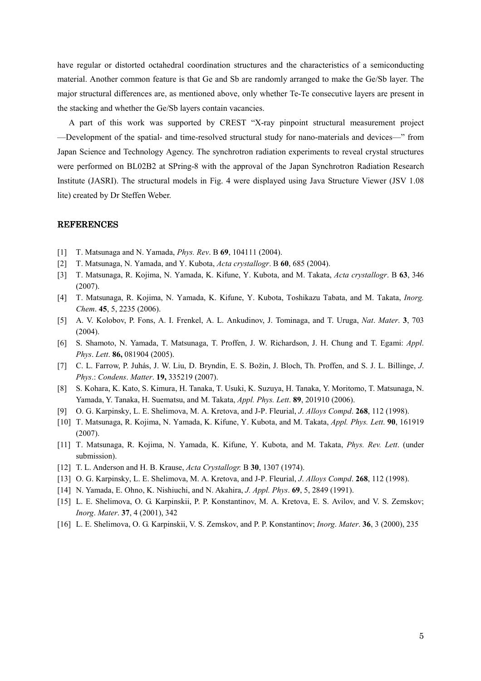have regular or distorted octahedral coordination structures and the characteristics of a semiconducting material. Another common feature is that Ge and Sb are randomly arranged to make the Ge/Sb layer. The major structural differences are, as mentioned above, only whether Te-Te consecutive layers are present in the stacking and whether the Ge/Sb layers contain vacancies.

A part of this work was supported by CREST "X-ray pinpoint structural measurement project —Development of the spatial- and time-resolved structural study for nano-materials and devices—" from Japan Science and Technology Agency. The synchrotron radiation experiments to reveal crystal structures were performed on BL02B2 at SPring-8 with the approval of the Japan Synchrotron Radiation Research Institute (JASRI). The structural models in Fig. 4 were displayed using Java Structure Viewer (JSV 1.08 lite) created by Dr Steffen Weber.

## REFERENCES

- [1] T. Matsunaga and N. Yamada, Phys. Rev. B 69, 104111 (2004).
- [2] T. Matsunaga, N. Yamada, and Y. Kubota, Acta crystallogr. B 60, 685 (2004).
- [3] T. Matsunaga, R. Kojima, N. Yamada, K. Kifune, Y. Kubota, and M. Takata, Acta crystallogr. B 63, 346 (2007).
- [4] T. Matsunaga, R. Kojima, N. Yamada, K. Kifune, Y. Kubota, Toshikazu Tabata, and M. Takata, Inorg. Chem. 45, 5, 2235 (2006).
- [5] A. V. Kolobov, P. Fons, A. I. Frenkel, A. L. Ankudinov, J. Tominaga, and T. Uruga, Nat. Mater. 3, 703 (2004).
- [6] S. Shamoto, N. Yamada, T. Matsunaga, T. Proffen, J. W. Richardson, J. H. Chung and T. Egami: Appl. Phys. Lett. 86, 081904 (2005).
- [7] C. L. Farrow, P. Juhás, J. W. Liu, D. Bryndin, E. S. Božin, J. Bloch, Th. Proffen, and S. J. L. Billinge, J. Phys.: Condens. Matter. 19, 335219 (2007).
- [8] S. Kohara, K. Kato, S. Kimura, H. Tanaka, T. Usuki, K. Suzuya, H. Tanaka, Y. Moritomo, T. Matsunaga, N. Yamada, Y. Tanaka, H. Suematsu, and M. Takata, Appl. Phys. Lett. 89, 201910 (2006).
- [9] O. G. Karpinsky, L. E. Shelimova, M. A. Kretova, and J-P. Fleurial, *J. Alloys Compd.* **268**, 112 (1998).
- [10] T. Matsunaga, R. Kojima, N. Yamada, K. Kifune, Y. Kubota, and M. Takata, Appl. Phys. Lett. 90, 161919 (2007).
- [11] T. Matsunaga, R. Kojima, N. Yamada, K. Kifune, Y. Kubota, and M. Takata, Phys. Rev. Lett. (under submission).
- [12] T. L. Anderson and H. B. Krause, *Acta Crystallogr.* B **30**, 1307 (1974).
- [13] O. G. Karpinsky, L. E. Shelimova, M. A. Kretova, and J-P. Fleurial, *J. Alloys Compd.* **268**, 112 (1998).
- [14] N. Yamada, E. Ohno, K. Nishiuchi, and N. Akahira, J. Appl. Phys. 69, 5, 2849 (1991).
- [15] L. E. Shelimova, O. G. Karpinskii, P. P. Konstantinov, M. A. Kretova, E. S. Avilov, and V. S. Zemskov; Inorg. Mater. 37, 4 (2001), 342
- [16] L. E. Shelimova, O. G. Karpinskii, V. S. Zemskov, and P. P. Konstantinov; Inorg. Mater. 36, 3 (2000), 235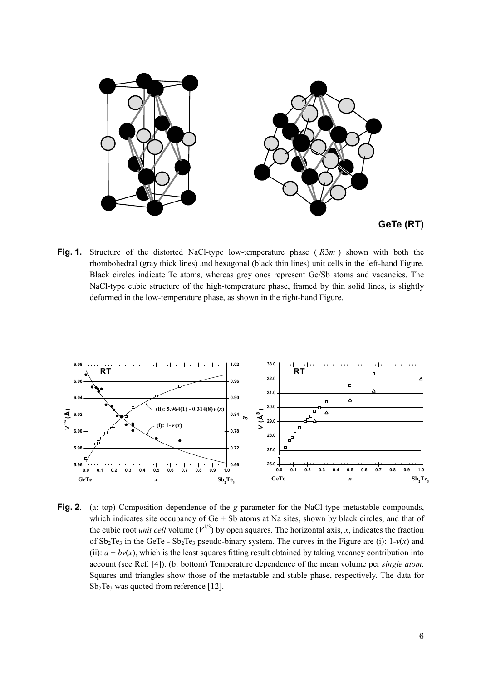



Fig. 1. Structure of the distorted NaCl-type low-temperature phase  $(R3m)$  shown with both the rhombohedral (gray thick lines) and hexagonal (black thin lines) unit cells in the left-hand Figure. Black circles indicate Te atoms, whereas grey ones represent Ge/Sb atoms and vacancies. The NaCl-type cubic structure of the high-temperature phase, framed by thin solid lines, is slightly deformed in the low-temperature phase, as shown in the right-hand Figure.



Fig. 2. (a: top) Composition dependence of the g parameter for the NaCl-type metastable compounds, which indicates site occupancy of  $Ge + Sb$  atoms at Na sites, shown by black circles, and that of the cubic root *unit cell* volume  $(V^{1/3})$  by open squares. The horizontal axis, x, indicates the fraction of  $Sb_2Te_3$  in the GeTe -  $Sb_2Te_3$  pseudo-binary system. The curves in the Figure are (i):  $1-v(x)$  and (ii):  $a + bv(x)$ , which is the least squares fitting result obtained by taking vacancy contribution into account (see Ref. [4]). (b: bottom) Temperature dependence of the mean volume per single atom. Squares and triangles show those of the metastable and stable phase, respectively. The data for  $Sb<sub>2</sub>Te<sub>3</sub>$  was quoted from reference [12].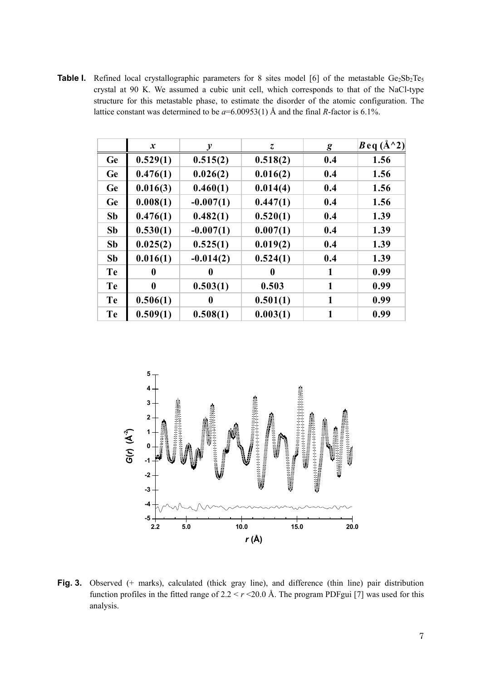**Table I.** Refined local crystallographic parameters for 8 sites model [6] of the metastable  $Ge_2Sb_2Te_5$ crystal at 90 K. We assumed a cubic unit cell, which corresponds to that of the NaCl-type structure for this metastable phase, to estimate the disorder of the atomic configuration. The lattice constant was determined to be  $a=6.00953(1)$  Å and the final R-factor is 6.1%.

|           | $\boldsymbol{x}$ | v           | Z.       | $\boldsymbol{g}$ | $B$ eq (Å^2) |
|-----------|------------------|-------------|----------|------------------|--------------|
| <b>Ge</b> | 0.529(1)         | 0.515(2)    | 0.518(2) | 0.4              | 1.56         |
| <b>Ge</b> | 0.476(1)         | 0.026(2)    | 0.016(2) | 0.4              | 1.56         |
| <b>Ge</b> | 0.016(3)         | 0.460(1)    | 0.014(4) | 0.4              | 1.56         |
| <b>Ge</b> | 0.008(1)         | $-0.007(1)$ | 0.447(1) | 0.4              | 1.56         |
| <b>Sb</b> | 0.476(1)         | 0.482(1)    | 0.520(1) | 0.4              | 1.39         |
| <b>Sb</b> | 0.530(1)         | $-0.007(1)$ | 0.007(1) | 0.4              | 1.39         |
| <b>Sb</b> | 0.025(2)         | 0.525(1)    | 0.019(2) | 0.4              | 1.39         |
| <b>Sb</b> | 0.016(1)         | $-0.014(2)$ | 0.524(1) | 0.4              | 1.39         |
| <b>Te</b> | 0                | 0           | 0        | $\mathbf{1}$     | 0.99         |
| Te        | $\mathbf{0}$     | 0.503(1)    | 0.503    | 1                | 0.99         |
| Te        | 0.506(1)         | 0           | 0.501(1) | 1                | 0.99         |
| <b>Te</b> | 0.509(1)         | 0.508(1)    | 0.003(1) |                  | 0.99         |



Fig. 3. Observed (+ marks), calculated (thick gray line), and difference (thin line) pair distribution function profiles in the fitted range of  $2.2 < r < 20.0$  Å. The program PDFgui [7] was used for this analysis.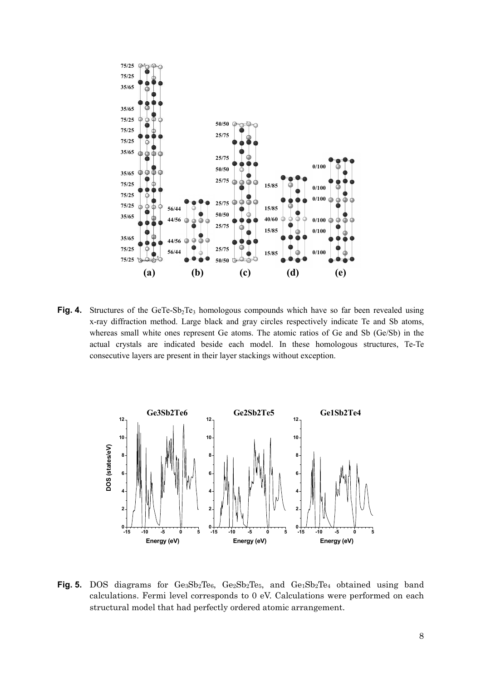

Fig. 4. Structures of the GeTe-Sb<sub>2</sub>Te<sub>3</sub> homologous compounds which have so far been revealed using x-ray diffraction method. Large black and gray circles respectively indicate Te and Sb atoms, whereas small white ones represent Ge atoms. The atomic ratios of Ge and Sb (Ge/Sb) in the actual crystals are indicated beside each model. In these homologous structures, Te-Te consecutive layers are present in their layer stackings without exception.



Fig. 5. DOS diagrams for Ge3Sb2Te6, Ge2Sb2Te5, and Ge1Sb2Te4 obtained using band calculations. Fermi level corresponds to 0 eV. Calculations were performed on each structural model that had perfectly ordered atomic arrangement.